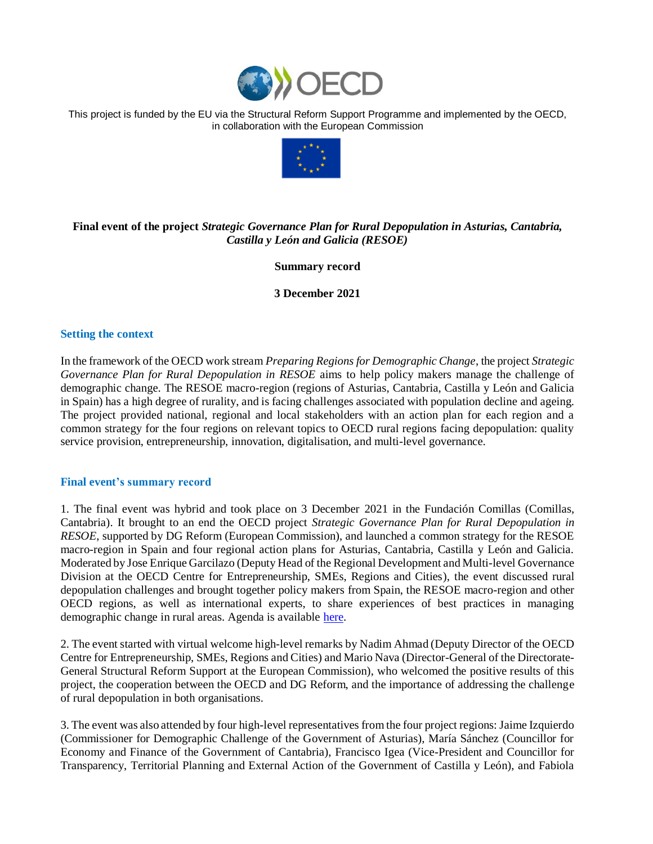

This project is funded by the EU via the Structural Reform Support Programme and implemented by the OECD, in collaboration with the European Commission



## **Final event of the project** *Strategic Governance Plan for Rural Depopulation in Asturias, Cantabria, Castilla y León and Galicia (RESOE)*

**Summary record**

**3 December 2021**

## **Setting the context**

In the framework of the OECD work stream *Preparing Regions for Demographic Change*, the project *Strategic Governance Plan for Rural Depopulation in RESOE* aims to help policy makers manage the challenge of demographic change. The RESOE macro-region (regions of Asturias, Cantabria, Castilla y León and Galicia in Spain) has a high degree of rurality, and is facing challenges associated with population decline and ageing. The project provided national, regional and local stakeholders with an action plan for each region and a common strategy for the four regions on relevant topics to OECD rural regions facing depopulation: quality service provision, entrepreneurship, innovation, digitalisation, and multi-level governance.

## **Final event's summary record**

1. The final event was hybrid and took place on 3 December 2021 in the Fundación Comillas (Comillas, Cantabria). It brought to an end the OECD project *Strategic Governance Plan for Rural Depopulation in RESOE*, supported by DG Reform (European Commission), and launched a common strategy for the RESOE macro-region in Spain and four regional action plans for Asturias, Cantabria, Castilla y León and Galicia. Moderated by Jose Enrique Garcilazo (Deputy Head of the Regional Development and Multi-level Governance Division at the OECD Centre for Entrepreneurship, SMEs, Regions and Cities), the event discussed rural depopulation challenges and brought together policy makers from Spain, the RESOE macro-region and other OECD regions, as well as international experts, to share experiences of best practices in managing demographic change in rural areas. Agenda is available [here.](https://www.oecd.org/regional/rural-development/RESOE-Final-Event-Agenda.pdf)

2. The event started with virtual welcome high-level remarks by Nadim Ahmad (Deputy Director of the OECD Centre for Entrepreneurship, SMEs, Regions and Cities) and Mario Nava (Director-General of the Directorate-General Structural Reform Support at the European Commission), who welcomed the positive results of this project, the cooperation between the OECD and DG Reform, and the importance of addressing the challenge of rural depopulation in both organisations.

3. The event was also attended by four high-level representatives from the four project regions: Jaime Izquierdo (Commissioner for Demographic Challenge of the Government of Asturias), María Sánchez (Councillor for Economy and Finance of the Government of Cantabria), Francisco Igea (Vice-President and Councillor for Transparency, Territorial Planning and External Action of the Government of Castilla y León), and Fabiola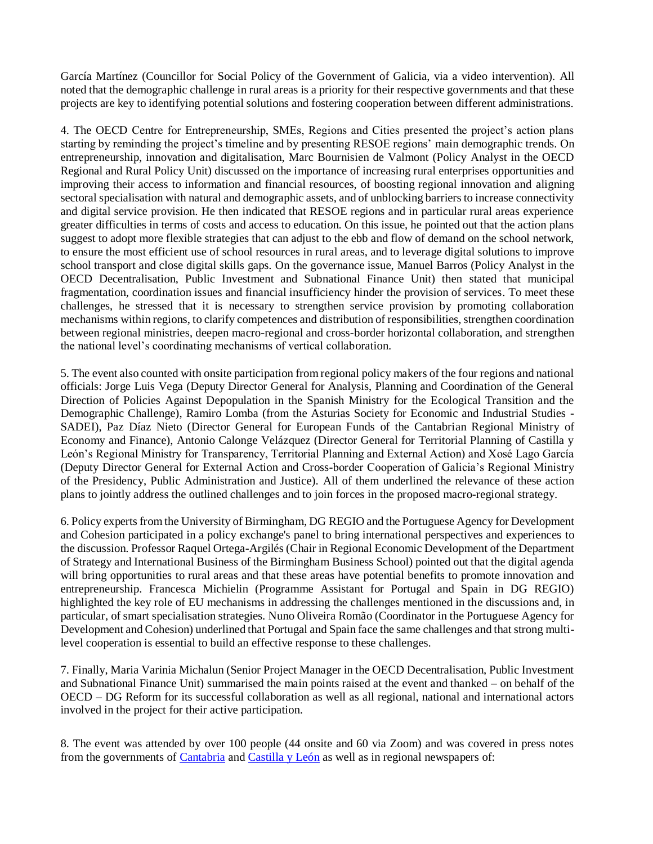García Martínez (Councillor for Social Policy of the Government of Galicia, via a video intervention). All noted that the demographic challenge in rural areas is a priority for their respective governments and that these projects are key to identifying potential solutions and fostering cooperation between different administrations.

4. The OECD Centre for Entrepreneurship, SMEs, Regions and Cities presented the project's action plans starting by reminding the project's timeline and by presenting RESOE regions' main demographic trends. On entrepreneurship, innovation and digitalisation, Marc Bournisien de Valmont (Policy Analyst in the OECD Regional and Rural Policy Unit) discussed on the importance of increasing rural enterprises opportunities and improving their access to information and financial resources, of boosting regional innovation and aligning sectoral specialisation with natural and demographic assets, and of unblocking barriers to increase connectivity and digital service provision. He then indicated that RESOE regions and in particular rural areas experience greater difficulties in terms of costs and access to education. On this issue, he pointed out that the action plans suggest to adopt more flexible strategies that can adjust to the ebb and flow of demand on the school network, to ensure the most efficient use of school resources in rural areas, and to leverage digital solutions to improve school transport and close digital skills gaps. On the governance issue, Manuel Barros (Policy Analyst in the OECD Decentralisation, Public Investment and Subnational Finance Unit) then stated that municipal fragmentation, coordination issues and financial insufficiency hinder the provision of services. To meet these challenges, he stressed that it is necessary to strengthen service provision by promoting collaboration mechanisms within regions, to clarify competences and distribution of responsibilities, strengthen coordination between regional ministries, deepen macro-regional and cross-border horizontal collaboration, and strengthen the national level's coordinating mechanisms of vertical collaboration.

5. The event also counted with onsite participation from regional policy makers of the four regions and national officials: Jorge Luis Vega (Deputy Director General for Analysis, Planning and Coordination of the General Direction of Policies Against Depopulation in the Spanish Ministry for the Ecological Transition and the Demographic Challenge), Ramiro Lomba (from the Asturias Society for Economic and Industrial Studies - SADEI), Paz Díaz Nieto (Director General for European Funds of the Cantabrian Regional Ministry of Economy and Finance), Antonio Calonge Velázquez (Director General for Territorial Planning of Castilla y León's Regional Ministry for Transparency, Territorial Planning and External Action) and Xosé Lago García (Deputy Director General for External Action and Cross-border Cooperation of Galicia's Regional Ministry of the Presidency, Public Administration and Justice). All of them underlined the relevance of these action plans to jointly address the outlined challenges and to join forces in the proposed macro-regional strategy.

6. Policy experts from the University of Birmingham, DG REGIO and the Portuguese Agency for Development and Cohesion participated in a policy exchange's panel to bring international perspectives and experiences to the discussion. Professor Raquel Ortega-Argilés (Chair in Regional Economic Development of the Department of Strategy and International Business of the Birmingham Business School) pointed out that the digital agenda will bring opportunities to rural areas and that these areas have potential benefits to promote innovation and entrepreneurship. Francesca Michielin (Programme Assistant for Portugal and Spain in DG REGIO) highlighted the key role of EU mechanisms in addressing the challenges mentioned in the discussions and, in particular, of smart specialisation strategies. Nuno Oliveira Romão (Coordinator in the Portuguese Agency for Development and Cohesion) underlined that Portugal and Spain face the same challenges and that strong multilevel cooperation is essential to build an effective response to these challenges.

7. Finally, Maria Varinia Michalun (Senior Project Manager in the OECD Decentralisation, Public Investment and Subnational Finance Unit) summarised the main points raised at the event and thanked – on behalf of the OECD – DG Reform for its successful collaboration as well as all regional, national and international actors involved in the project for their active participation.

8. The event was attended by over 100 people (44 onsite and 60 via Zoom) and was covered in press notes from the governments of [Cantabria](https://www.cantabria.es/web/consejeria-de-economia-y-hacienda/detalle/-/journal_content/56_INSTANCE_DETALLE/16413/18539571) an[d Castilla y León](https://comunicacion.jcyl.es/web/jcyl/Comunicacion/es/Plantilla100Detalle/1284877983892/NotaPrensa/1285118090899/Comunicacion) as well as in regional newspapers of: